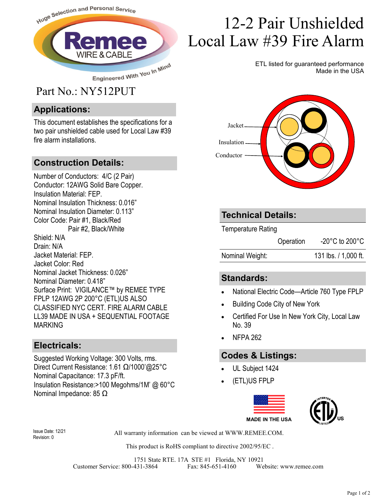

#### **Applications:**

This document establishes the specifications for a two pair unshielded cable used for Local Law #39 fire alarm installations.

#### **Construction Details:**

Number of Conductors: 4/C (2 Pair) Conductor: 12AWG Solid Bare Copper. Insulation Material: FEP. Nominal Insulation Thickness: 0.016" Nominal Insulation Diameter: 0.113" Color Code: Pair #1, Black/Red Pair #2, Black/White Shield: N/A Drain: N/A Jacket Material: FEP. Jacket Color: Red Nominal Jacket Thickness: 0.026" Nominal Diameter: 0.418" Surface Print: VIGILANCE™ by REMEE TYPE FPLP 12AWG 2P 200°C (ETL)US ALSO CLASSIFIED NYC CERT. FIRE ALARM CABLE LL39 MADE IN USA + SEQUENTIAL FOOTAGE MARKING

#### **Electricals:**

Suggested Working Voltage: 300 Volts, rms. Direct Current Resistance: 1.61 Ω/1000'@25°C Nominal Capacitance: 17.3 pF/ft. Insulation Resistance:>100 Megohms/1M' @ 60°C Nominal Impedance: 85 Ω

# 12-2 Pair Unshielded Local Law #39 Fire Alarm

ETL listed for guaranteed performance Made in the USA



#### **Technical Details:**

Temperature Rating

Operation -20°C to 200°C

Nominal Weight: 131 lbs. / 1,000 ft.

#### **Standards:**

- National Electric Code—Article 760 Type FPLP
- Building Code City of New York
- Certified For Use In New York City, Local Law No. 39
- NFPA 262

### **Codes & Listings:**

- UL Subject 1424
- (ETL)US FPLP



Revision: 0

All warranty information can be viewed at WWW.REMEE.COM. Issue Date: 12/21

This product is RoHS compliant to directive 2002/95/EC .

1751 State RTE. 17A STE #1 Florida, NY 10921 Customer Service: 800-431-3864 Fax: 845-651-4160 Website: www.remee.com